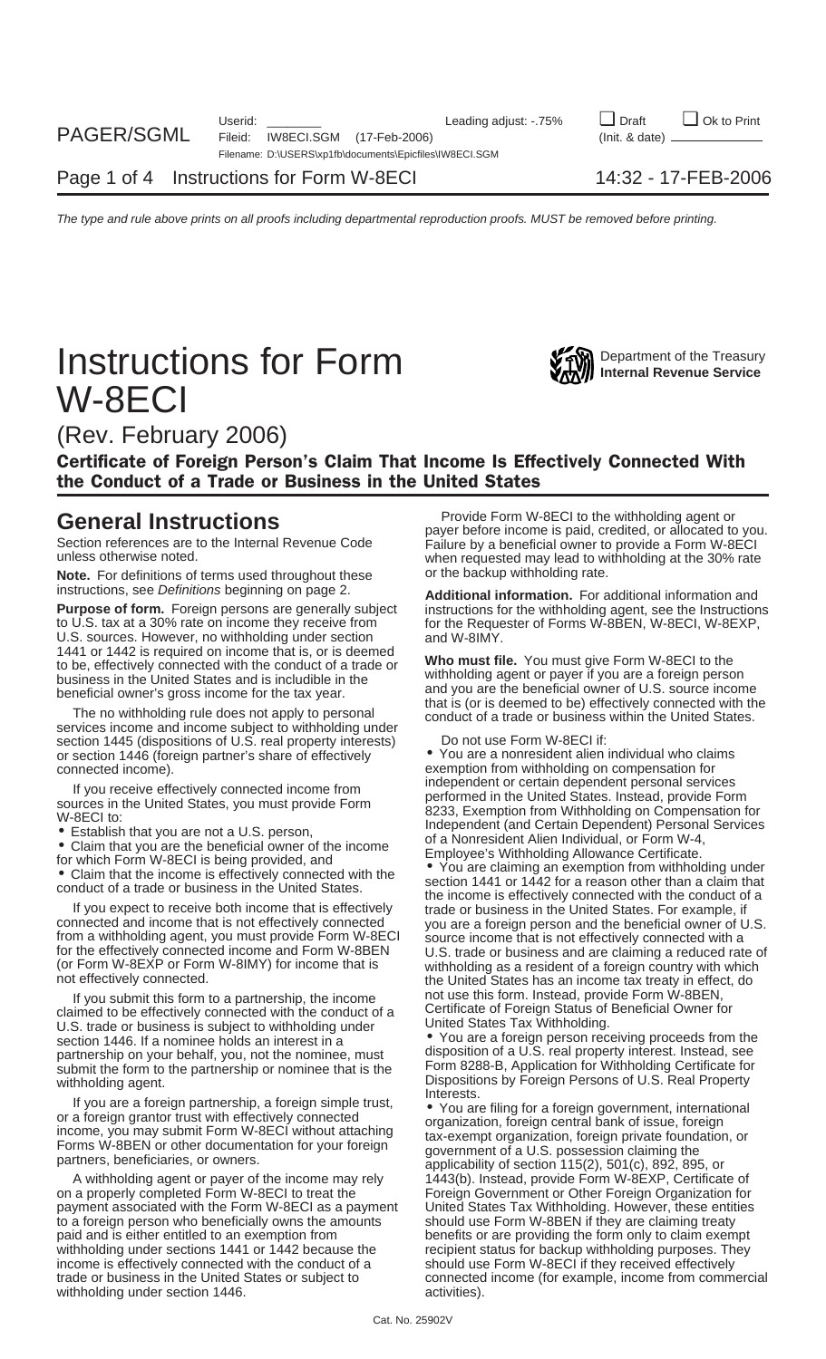# **Instructions for Form WAW** Department of the Treasury **Instructions** W-8ECI



(Rev. February 2006)

Certificate of Foreign Person's Claim That Income Is Effectively Connected With the Conduct of a Trade or Business in the United States

**Note.** For definitions of terms used throughout these or the backup withholding rate.

**Purpose of form.** Foreign persons are generally subject instructions for the withholding agent, see the Instructions to U.S. tax at a 30% rate on income they receive from the Requester of Forms W-8BEN, W-8ECI, W-8EXP, U.S. sources. However, no withholding under section<br>1441 or 1442 is required on income that is, or is deemed

services income and income subject to withholding under section 1445 (dispositions of U.S. real property interests) Do not use Form W-8ECI if:<br>or section 1446 (foreign partner's share of effectively • You are a nonresident alien individual who claims or section 1446 (foreign partner's share of effectively

If you submit this form to a partnership, the income<br>
claimed to be effectively connected with the conduct of a<br>
Certificate of Foreign Status of Beneficial Owner for<br>
United States Tax Withholding. U.S. trade or business is subject to withholding under section 1446. If a nominee holds an interest in a **•** You are a foreign person receiving proceeds from the nominee must disposition of a U.S. real property interest. Instead, see partnership on your behalf, you, not the nominee, must<br>submit the form to the partnership or nominee that is the Form 8288-B, Application for Withholding Certificate for submit the form to the partnership or nominee that is the

If you are a foreign partnership, a foreign simple trust,<br>or a foreign grantor trust with effectively connected<br>income, you may submit Form W-8ECI without attaching<br>Forms W-8BEN or other documentation for your foreign<br>part

A withholding agent or payer of the income may rely 1443(b). Instead, provide Form W-8EXP, Certificate of on a properly completed Form W-8ECI to treat the Foreign Government or Other Foreign Organization for payment associated with the Form W-8ECI as a payment United States Tax Withholding. However, these entities to a foreign person who beneficially owns the amounts should use Form W-8BEN if they are claiming treaty<br>paid and is either entitled to an exemption from benefits or are providing the form only to claim exem withholding under sections 1441 or 1442 because the recipient status for backup withholding purposes. They income is effectively connected with the conduct of a should use Form W-8ECI if they received effectively trade or business in the United States or subject to connected income (for example, income from commercial withholding under section 1446. And the matrix of activities).

**General Instructions**<br>
Provide Form W-8ECI to the withholding agent or<br>
payer before income is paid, credited, or allocated to you. Section references are to the Internal Revenue Code<br>unless otherwise noted.<br>when requested may lead to withholding at the 30% rate

instructions, see *Definitions* beginning on page 2.<br>**Additional information.** For additional information. For additional information and<br>instructions for the withholding agent, see the Instruction for the Requester of Forms W-8BEN, W-8ECI, W-8EXP, and W-8IMY.

1441 or 1442 is required on income that is, or is deemed<br>to be, effectively connected with the conduct of a trade or<br>business in the United States and is includible in the<br>beneficial owner's gross income for the tax year.<br>

connected income).<br>
Figure offectively connected income from the independent or certain dependent personal services

If you receive effectively connected income from<br>
sources in the United States, you must provide Form<br>
SCAL to:<br>
SCAL to:<br>
SCAL to:<br>
SCAL to:<br>
SCAL to:<br>
SCAL to:<br>
Claim that you are not a U.S. person,<br>
• Claim that you are

withholding agent.<br>Interests. Dispositions by Foreign Persons of U.S. Real Property

benefits or are providing the form only to claim exempt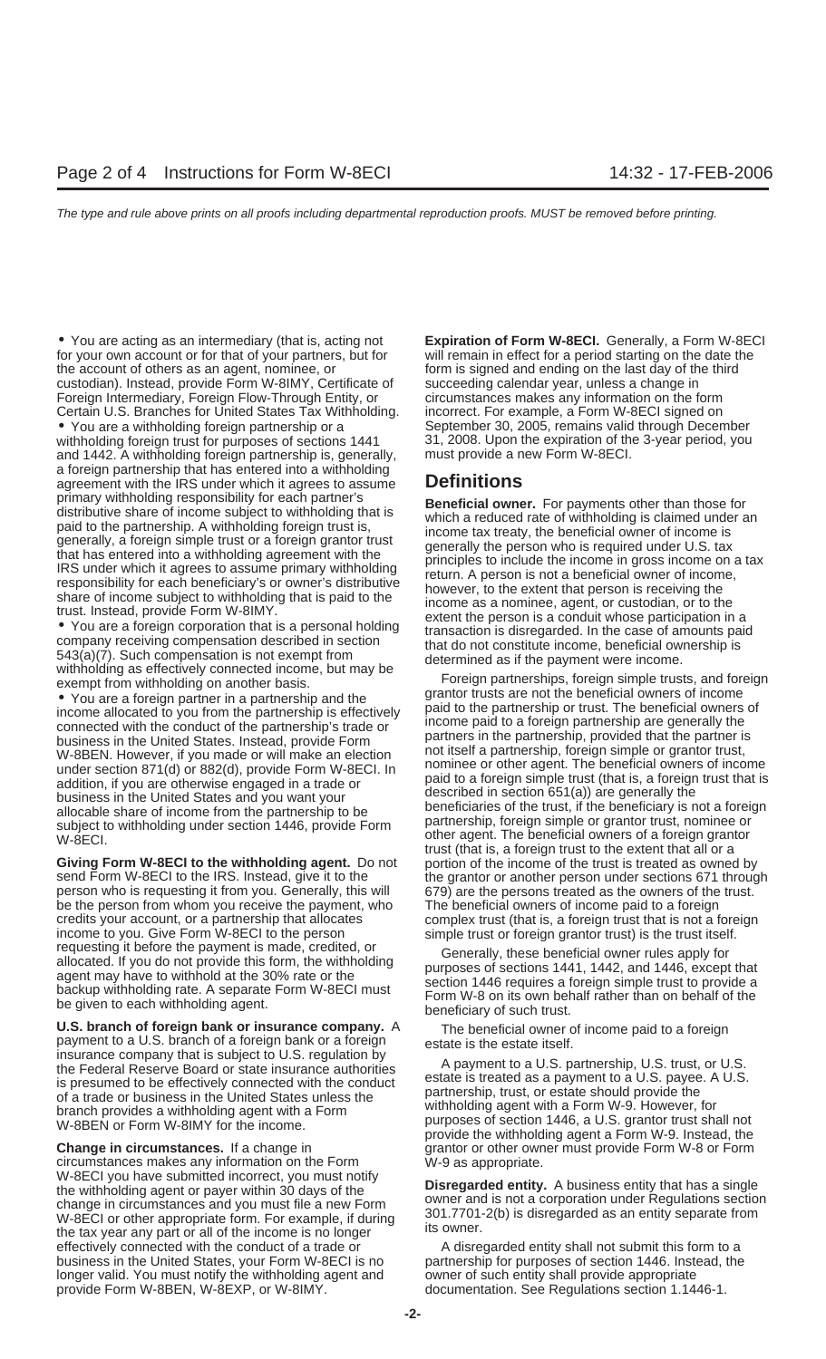• You are acting as an intermediary (that is, acting not **Expiration of Form W-8ECI.** Generally, a Form W-8ECI for your own account or for that of your partners, but for the account of others as an agent, nominee, or form is signed and ending on the last day of the third custodian). Instead, provide Form W-8IMY, Certificate of succeeding calendar year, unless a change in Foreign Intermediary, Foreign Flow-Through Entity, or circumstances makes any information on the form Certain U.S. Branches for United States Tax Withholding. incorrect. For example, a Form W-8ECI signed on

and 1442. A withholding foreign partnership is, generally, a foreign partnership that has entered into a withholding agreement with the IRS under which it agrees to assume **Definitions**

business in the United States. Instead, provide Form and the partners in the partnership, provided that the partner is<br>W-8BEN. However, if you made or will make an election and itself a partnership, foreign simple or grant subject to withholding under section 1446, provide Form partnership, loreign simple or grantor trust, nominee or<br>W-8ECI. other agent. The beneficial owners of a foreign grantor

**Giving Form W-8ECI to the withholding agent.** Do not portion of the income of the trust is treated as owned by person who is requesting it from you. Generally, this will 679) are the persons treated as the owners of the trust. be the person from whom you receive the payment, who The beneficial owners of income paid to a foreign credits your account, or a partnership that allocates complex trust (that is, a foreign trust that is not a foreign income to you. Give Form W-8ECI to the person requesting it before the payment is made, credited, or<br>allocated. If you do not provide this form, the withholding<br>agent may have to withhold at the 30% rate or the<br>backup withholding rate. A separate Form W-8ECI must<br>be g

**U.S. branch of foreign bank or insurance company.** A The beneficial owner of income paid to a foreign payment to a U.S. branch of a foreign bank or a foreign estate is the estate itself.<br>
insurance company that is subject insurance company that is subject to U.S. regulation by<br>
the Federal Reserve Board or state insurance authorities<br>
is presumed to be effectively connected with the conduct<br>
of a trade or business in the United States unles branch provides a withholding agent with a Form<br>W-8BEN or Form W-8IMY for the income.<br>W-8BEN or Form W-8IMY for the income.

**Change in circumstances.** If a change in grantor or other owner must provide Form W-8 or Form circumstances makes any information on the Form W-9 as appropriate. W-8ECI you have submitted incorrect, you must notify<br>the withholding agent or payer within 30 days of the<br>change in circumstances and you must file a new Form<br>W-8ECI or other appropriate form. For example, if during 301.77 W-8ECI or other appropriate form. For example, if during  $\frac{301.7701}{15}$ the tax year any part or all of the income is no longer effectively connected with the conduct of a trade or A disregarded entity shall not submit this form to a business in the United States, your Form W-8ECI is no partnership for purposes of section 1446. Instead, the longer valid. You must notify the withholding agent and owner of such entity shall provide appropriate provide Form W-8BEN, W-8EXP, or W-8IMY. documentation. See Regulations section 1.1446-1.

• You are a withholding foreign partnership or a September 30, 2005, remains valid through December<br>withholding foreign trust for purposes of sections 1441 31, 2008. Upon the expiration of the 3-year period, you 31, 2008. Upon the expiration of the 3-year period, you must provide a new Form W-8ECI.

primary withholding responsibility for each particle in some subject to withholding that is<br>placed to the partnership. A withholding foreign trust is, which a reduced rate of withholding is claimed under a<br>paid to the part

and tion, if you are of herwise engaged in a trade or the paid to a foreign simple trust (that is, a foreign trust that is<br>addition, if you are otherwise engaged in a trade or business in the United States and you want you trust (that is, a foreign trust to the extent that all or a send Form W-8ECI to the IRS. Instead, give it to the the grantor or another person under sections 671 through simple trust or foreign grantor trust) is the trust itself.

provide the withholding agent a Form W-9. Instead, the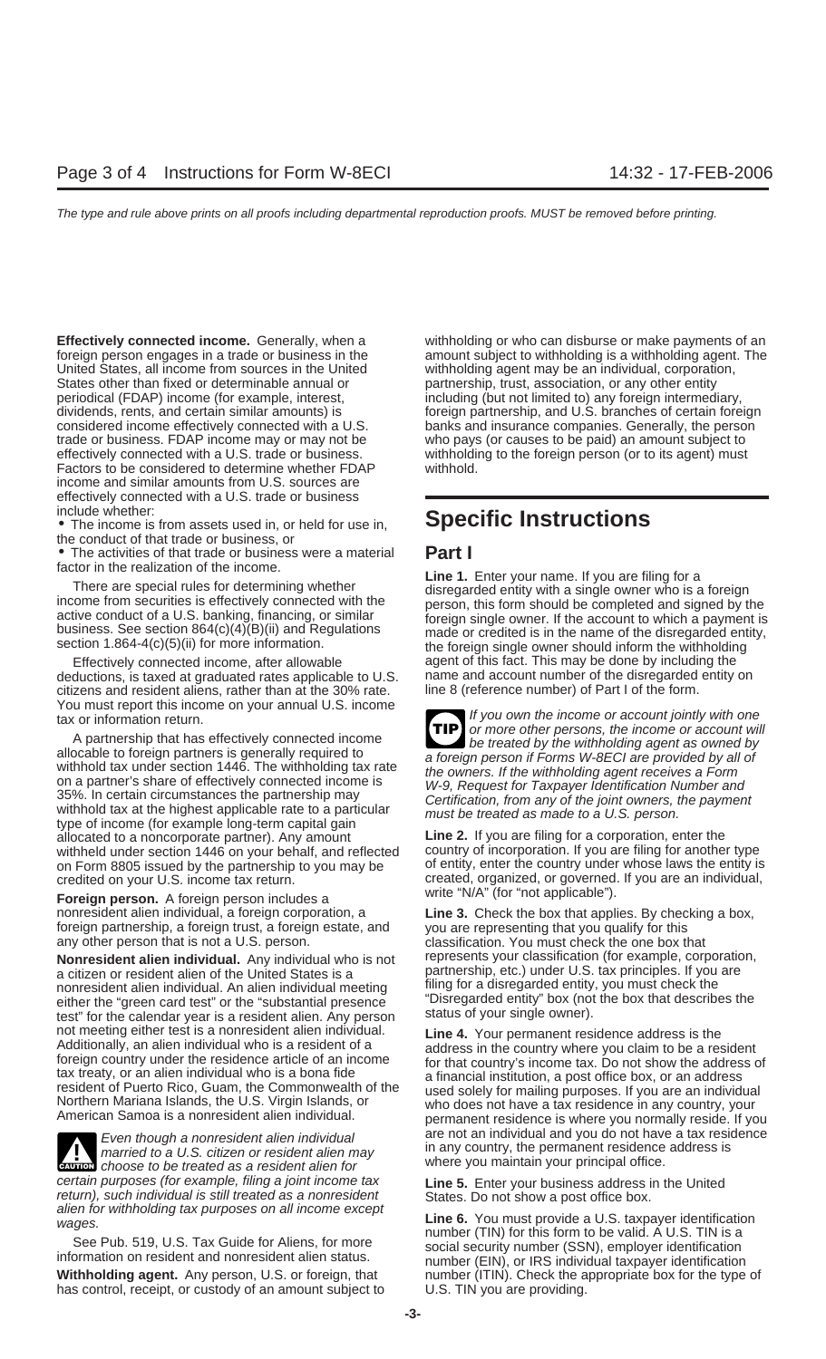United States, all income from sources in the United withholding agent may be an individual, corporation, States other than fixed or determinable annual or partnership, trust, association, or any other entity periodical (FDAP) income (for example, interest, including (but not limited to) any foreign intermed trade or business. FDAP income may or may not be who pays (or causes to be paid) an amount subject to Factors to be considered to determine whether FDAP withhold. income and similar amounts from U.S. sources are effectively connected with a U.S. trade or business include whether:

the conduct of that trade or business, or

• The activities of that trade or business were a material **Part I** factor in the realization of the income.

deductions, is taxed at graduated rates applicable to U.S. an ame and account number of the disregarded citizens and resident aliens, rather than at the 30% rate. In the 8 (reference number) of Part I of the form. citizens and resident aliens, rather than at the 30% rate.

A partnership that has effectively connected income<br>allocable to foreign partners is generally required to<br>a foreign parson if Essens, WARECLARE provided by all of allocable to foreign partners is generally required to<br>withhold tax under section 1446. The withholding tax rate<br>on a partner's share of effectively connected income is<br>35%. In certain circumstances the partnership may<br>wit type of income (for example long-term capital gain<br>allocated to a noncorporate partner). Any amount<br>withheld under section 1446 on your behalf, and reflected country of incorporation. If you are filing for another type withheld under section 1446 on your behalf, and reflected country of incorporation. If you are filing for another type<br>on Form 8805 issued by the partnership to you may be of entity, enter the country under whose laws the on Form 8805 issued by the partnership to you may be

**Foreign person.** A foreign person includes a nonresident alien individual, a foreign corporation, a **Line 3.** Check the box that applies. By checking a box, foreign partnership, a foreign trust, a foreign estate, and you are representing that you qualify for this any other person that is not a U.S. person. classification. You must check the one box that

a citizen or resident alien of the United States is a partnership, etc.) under U.S. tax principles. If you are<br>nonresident alien individual. An alien individual meeting filling for a disregarded entity, you must check the nonresident alien individual. An alien individual meeting filling for a disregarded entity, you must check the<br>either the "green card test" or the "substantial presence" (Disregarded entity" box (not the box that describes either the "green card test" or the "substantial presence "Disregarded entity" box (not<br>test" for the calendar vear is a resident alien. Any person status of your single owner). test" for the calendar year is a resident alien. Any person



married to a U.S. citizen or resident alien may in any country, the permanent residence<br>choose to be treated as a resident alien for where you maintain your principal office. where you married to a U.S. citizen or resident alien may in any country, the permanent residence<br>
choose to be treated as a resident alien for where you maintain your principal office. certain purposes (for example, filing a joint income tax<br>return), such individual is still treated as a nonresident<br>alien for withholding tax purposes on all income except<br>except<br>except<br>except<br>except<br>except<br>except<br>except<br>e

See Pub. 519, U.S. Tax Guide for Aliens, for more<br>information on resident and nonresident alien status.<br>information on resident and nonresident alien status.<br>number (EIN), or IRS individual taxpayer identification

**Effectively connected income.** Generally, when a withholding or who can disburse or make payments of an foreign person engages in a trade or business in the amount subject to withholding is a withholding agent. The including (but not limited to) any foreign intermediary, dividends, rents, and certain similar amounts) is foreign partnership, and U.S. branches of certain foreign considered income effectively connected with a U.S. banks and insurance companies. Generally, the person effectively connected with a U.S. trade or business. withholding to the foreign person (or to its agent) must

## • The income is from assets used in, or held for use in, **Specific Instructions**

Factor in the realization of the income.<br>
There are special rules for determining whether<br>
income from securities is effectively connected with the<br>
active conduct of a U.S. banking, financing, or similar<br>
business. See se Effectively connected income, after allowable agent of this fact. This may be done by including the districtions, is taxed at graduated rates applicable to U.S. name and account number of the distregarded entity on

You must report this income on your annual U.S. income<br>tax or information return.<br>A protective that the effective the second vill is a complete the second vill or more other persons, the income or account will **TIP**

credited on your U.S. income tax return. created, organized, or governed. If you are an individual,<br>
Foreign parson. A foreign parson includes a write "N/A" (for "not applicable").

**Nonresident alien individual.** Any individual who is not represents your classification (for example, corporation, a citizen or resident alien of the United States is a partnership, etc.) under U.S. tax principles. If you

not meeting either test is a nonresident alien individual.<br>
Additionally, an alien individual who is a resident of a<br>
foreign country under the residence article of an income<br>
tax treaty, or an alien individual who is a bo Even though a nonresident alien individual and you do not have a tax residence<br>married to a U.S. citizen or resident alien may in any country, the permanent residence address is

wages. *Internation* and the same of the temperature of the same of the same provide a U.S. taxpayer identification<br>Mumber (TIN) for this form to be valid. A U.S. TIN is a **Withholding agent.** Any person, U.S. or foreign, that number (ITIN). Check the appropriate box for the type of has control, receipt, or custody of an amount subject to U.S. TIN you are providing.